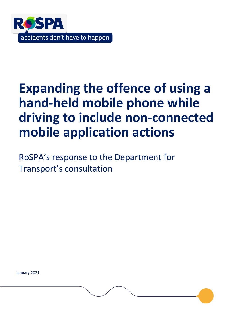

# **Expanding the offence of using a hand-held mobile phone while driving to include non-connected mobile application actions**

RoSPA's response to the Department for Transport's consultation

January 2021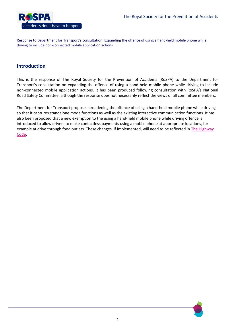

# **Introduction**

This is the response of The Royal Society for the Prevention of Accidents (RoSPA) to the Department for Transport's consultation on expanding the offence of using a hand-held mobile phone while driving to include non-connected mobile application actions. It has been produced following consultation with RoSPA's National Road Safety Committee, although the response does not necessarily reflect the views of all committee members.

The Department for Transport proposes broadening the offence of using a hand-held mobile phone while driving so that it captures standalone mode functions as well as the existing interactive communication functions. It has also been proposed that a new exemption to the using a hand-held mobile phone while driving offence is introduced to allow drivers to make contactless payments using a mobile phone at appropriate locations, for example at drive through food outlets. These changes, if implemented, will need to be reflected in The Highway [Code.](https://www.gov.uk/guidance/the-highway-code)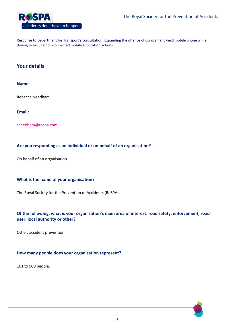

## **Your details**

#### **Name:**

Rebecca Needham.

**Email:** 

[rneedham@rospa.com](mailto:rneedham@rospa.com)

## **Are you responding as an individual or on behalf of an organisation?**

On behalf of an organisation.

## **What is the name of your organisation?**

The Royal Society for the Prevention of Accidents (RoSPA).

## **Of the following, what is your organisation's main area of interest: road safety, enforcement, road user, local authority or other?**

Other, accident prevention.

#### **How many people does your organisation represent?**

101 to 500 people.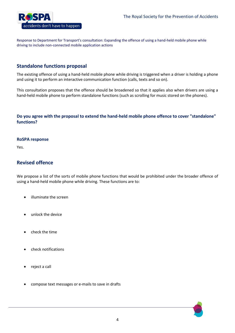

# **Standalone functions proposal**

The existing offence of using a hand-held mobile phone while driving is triggered when a driver is holding a phone and using it to perform an interactive communication function (calls, texts and so on).

This consultation proposes that the offence should be broadened so that it applies also when drivers are using a hand-held mobile phone to perform standalone functions (such as scrolling for music stored on the phones).

## **Do you agree with the proposal to extend the hand-held mobile phone offence to cover "standalone" functions?**

#### **RoSPA response**

Yes.

## **Revised offence**

We propose a list of the sorts of mobile phone functions that would be prohibited under the broader offence of using a hand-held mobile phone while driving. These functions are to:

- illuminate the screen
- unlock the device
- check the time
- check notifications
- reject a call
- compose text messages or e-mails to save in drafts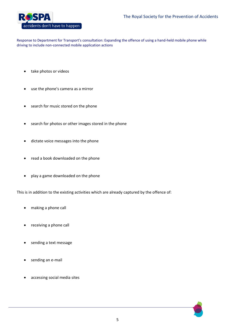

- take photos or videos
- use the phone's camera as a mirror
- search for music stored on the phone
- search for photos or other images stored in the phone
- dictate voice messages into the phone
- read a book downloaded on the phone
- play a game downloaded on the phone

This is in addition to the existing activities which are already captured by the offence of:

- making a phone call
- receiving a phone call
- sending a text message
- sending an e-mail
- accessing social media sites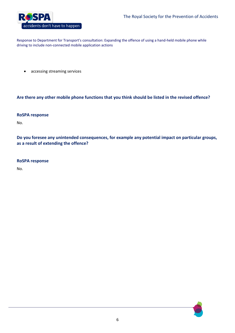

accessing streaming services

## **Are there any other mobile phone functions that you think should be listed in the revised offence?**

#### **RoSPA response**

No.

**Do you foresee any unintended consequences, for example any potential impact on particular groups, as a result of extending the offence?**

#### **RoSPA response**

No.

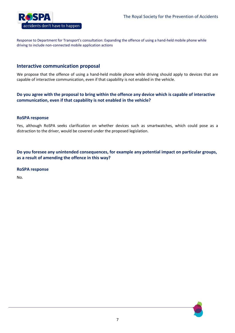

## **Interactive communication proposal**

We propose that the offence of using a hand-held mobile phone while driving should apply to devices that are capable of interactive communication, even if that capability is not enabled in the vehicle.

**Do you agree with the proposal to bring within the offence any device which is capable of interactive communication, even if that capability is not enabled in the vehicle?**

#### **RoSPA response**

Yes, although RoSPA seeks clarification on whether devices such as smartwatches, which could pose as a distraction to the driver, would be covered under the proposed legislation.

**Do you foresee any unintended consequences, for example any potential impact on particular groups, as a result of amending the offence in this way?**

#### **RoSPA response**

No.

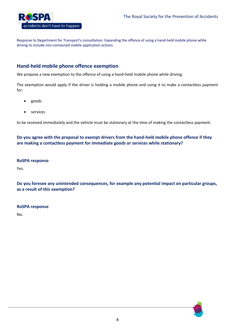

# **Hand-held mobile phone offence exemption**

We propose a new exemption to the offence of using a hand-held mobile phone while driving.

The exemption would apply if the driver is holding a mobile phone and using it to make a contactless payment for:

- goods
- services

to be received immediately and the vehicle must be stationary at the time of making the contactless payment.

**Do you agree with the proposal to exempt drivers from the hand-held mobile phone offence if they are making a contactless payment for immediate goods or services while stationary?**

#### **RoSPA response**

Yes.

**Do you foresee any unintended consequences, for example any potential impact on particular groups, as a result of this exemption?**

#### **RoSPA response**

No.

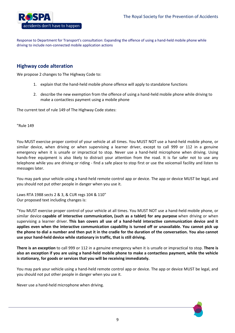

# **Highway code alteration**

We propose 2 changes to The Highway Code to:

- 1. explain that the hand-held mobile phone offence will apply to standalone functions
- 2. describe the new exemption from the offence of using a hand-held mobile phone while driving to make a contactless payment using a mobile phone

The current text of rule 149 of The Highway Code states:

"Rule 149

You MUST exercise proper control of your vehicle at all times. You MUST NOT use a hand-held mobile phone, or similar device, when driving or when supervising a learner driver, except to call 999 or 112 in a genuine emergency when it is unsafe or impractical to stop. Never use a hand-held microphone when driving. Using hands-free equipment is also likely to distract your attention from the road. It is far safer not to use any telephone while you are driving or riding - find a safe place to stop first or use the voicemail facility and listen to messages later.

You may park your vehicle using a hand-held remote control app or device. The app or device MUST be legal, and you should not put other people in danger when you use it.

Laws RTA 1988 sects 2 & 3, & CUR regs 104 & 110" Our proposed text including changes is:

"You MUST exercise proper control of your vehicle at all times. You MUST NOT use a hand-held mobile phone, or similar device **capable of interactive communication, (such as a tablet) for any purpose** when driving or when supervising a learner driver. **This ban covers all use of a hand-held interactive communication device and it applies even when the interactive communication capability is turned off or unavailable. You cannot pick up the phone to dial a number and then put it in the cradle for the duration of the conversation. You also cannot use your hand-held device while stationary in traffic, that is still driving.**

**There is an exception** to call 999 or 112 in a genuine emergency when it is unsafe or impractical to stop. **There is also an exception if you are using a hand-held mobile phone to make a contactless payment, while the vehicle is stationary, for goods or services that you will be receiving immediately.**

You may park your vehicle using a hand-held remote control app or device. The app or device MUST be legal, and you should not put other people in danger when you use it.

Never use a hand-held microphone when driving.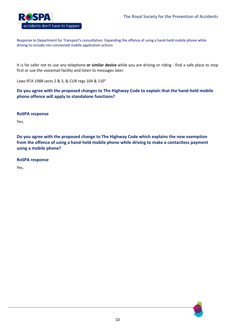

It is far safer not to use any telephone **or similar device** while you are driving or riding - find a safe place to stop first or use the voicemail facility and listen to messages later.

Laws RTA 1988 sects 2 & 3, & CUR regs 104 & 110"

**Do you agree with the proposed changes to The Highway Code to explain that the hand-held mobile phone offence will apply to standalone functions?**

#### **RoSPA response**

Yes.

**Do you agree with the proposed change to The Highway Code which explains the new exemption from the offence of using a hand-held mobile phone while driving to make a contactless payment using a mobile phone?**

#### **RoSPA response**

Yes.